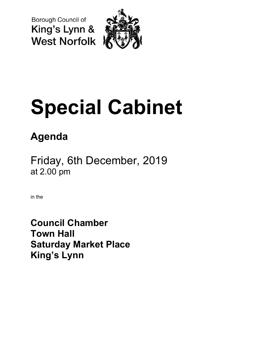**Borough Council of** King's Lynn & **West Norfolk** 



# **Special Cabinet**

## **Agenda**

Friday, 6th December, 2019 at 2.00 pm

in the

**Council Chamber Town Hall Saturday Market Place King's Lynn**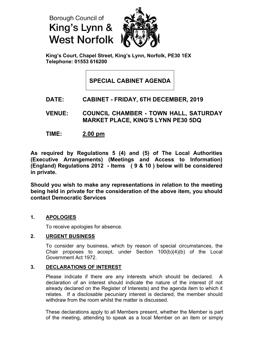### **Borough Council of** King's Lynn & **West Norfolk**



**King's Court, Chapel Street, King's Lynn, Norfolk, PE30 1EX Telephone: 01553 616200**

**SPECIAL CABINET AGENDA**

- **DATE: CABINET - FRIDAY, 6TH DECEMBER, 2019**
- **VENUE: COUNCIL CHAMBER - TOWN HALL, SATURDAY MARKET PLACE, KING'S LYNN PE30 5DQ**
- **TIME: 2.00 pm**

**As required by Regulations 5 (4) and (5) of The Local Authorities (Executive Arrangements) (Meetings and Access to Information) (England) Regulations 2012 - Items ( 9 & 10 ) below will be considered in private.**

**Should you wish to make any representations in relation to the meeting being held in private for the consideration of the above item, you should contact Democratic Services**

#### **1. APOLOGIES**

To receive apologies for absence.

#### **2. URGENT BUSINESS**

To consider any business, which by reason of special circumstances, the Chair proposes to accept, under Section 100(b)(4)(b) of the Local Government Act 1972.

#### **3. DECLARATIONS OF INTEREST**

Please indicate if there are any interests which should be declared. A declaration of an interest should indicate the nature of the interest (if not already declared on the Register of Interests) and the agenda item to which it relates. If a disclosable pecuniary interest is declared, the member should withdraw from the room whilst the matter is discussed.

These declarations apply to all Members present, whether the Member is part of the meeting, attending to speak as a local Member on an item or simply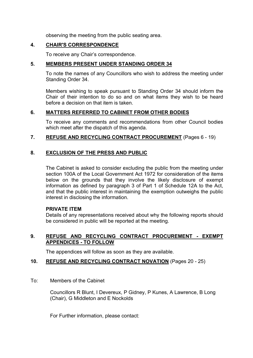observing the meeting from the public seating area.

#### **4. CHAIR'S CORRESPONDENCE**

To receive any Chair's correspondence.

#### **5. MEMBERS PRESENT UNDER STANDING ORDER 34**

To note the names of any Councillors who wish to address the meeting under Standing Order 34.

Members wishing to speak pursuant to Standing Order 34 should inform the Chair of their intention to do so and on what items they wish to be heard before a decision on that item is taken.

#### **6. MATTERS REFERRED TO CABINET FROM OTHER BODIES**

To receive any comments and recommendations from other Council bodies which meet after the dispatch of this agenda.

#### **7. REFUSE AND RECYCLING CONTRACT PROCUREMENT** (Pages 6 - 19)

#### **8. EXCLUSION OF THE PRESS AND PUBLIC**

The Cabinet is asked to consider excluding the public from the meeting under section 100A of the Local Government Act 1972 for consideration of the items below on the grounds that they involve the likely disclosure of exempt information as defined by paragraph 3 of Part 1 of Schedule 12A to the Act, and that the public interest in maintaining the exemption outweighs the public interest in disclosing the information.

#### **PRIVATE ITEM**

Details of any representations received about why the following reports should be considered in public will be reported at the meeting.

#### **9. REFUSE AND RECYCLING CONTRACT PROCUREMENT - EXEMPT APPENDICES - TO FOLLOW**

The appendices will follow as soon as they are available.

#### **10. REFUSE AND RECYCLING CONTRACT NOVATION** (Pages 20 - 25)

#### To: Members of the Cabinet

Councillors R Blunt, I Devereux, P Gidney, P Kunes, A Lawrence, B Long (Chair), G Middleton and E Nockolds

For Further information, please contact: